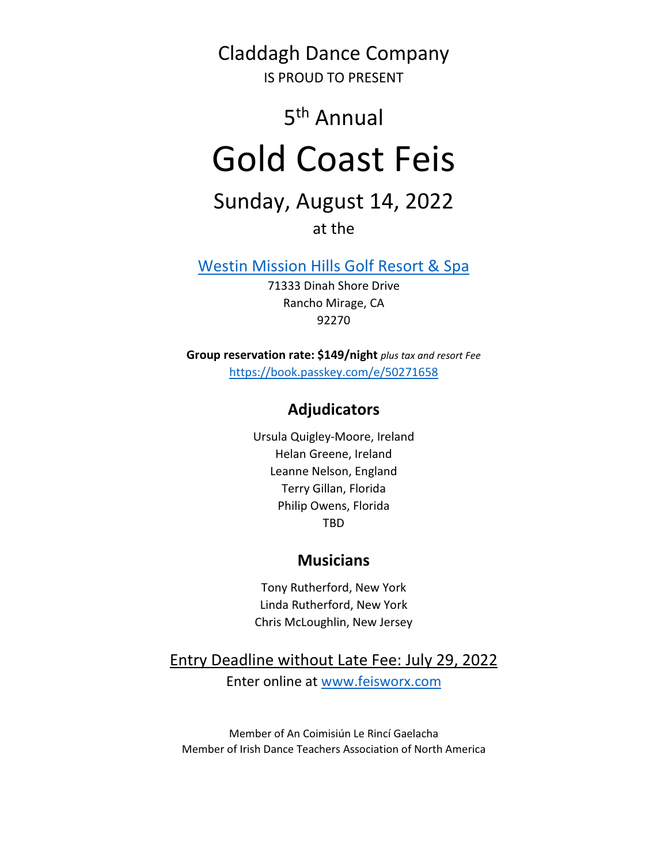Claddagh Dance Company

IS PROUD TO PRESENT

# 5<sup>th</sup> Annual

# Gold Coast Feis

## Sunday, August 14, 2022

at the

Westin Mission Hills Golf Resort & Spa

71333 Dinah Shore Drive Rancho Mirage, CA 92270

Group reservation rate: \$149/night plus tax and resort Fee https://book.passkey.com/e/50271658

### Adjudicators

Ursula Quigley-Moore, Ireland Helan Greene, Ireland Leanne Nelson, England Terry Gillan, Florida Philip Owens, Florida TBD

#### **Musicians**

Tony Rutherford, New York Linda Rutherford, New York Chris McLoughlin, New Jersey

Entry Deadline without Late Fee: July 29, 2022

Enter online at www.feisworx.com

Member of An Coimisiún Le Rincí Gaelacha Member of Irish Dance Teachers Association of North America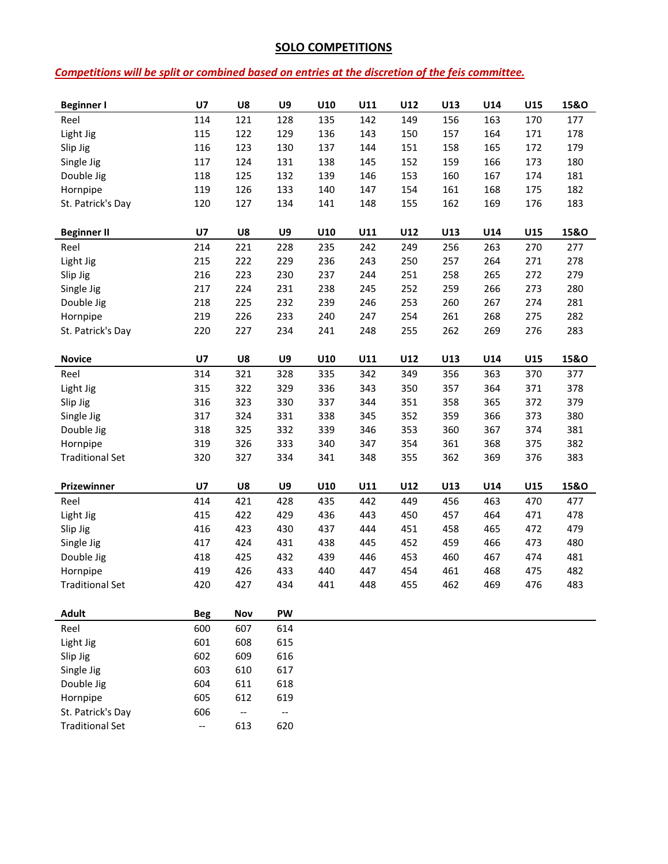#### SOLO COMPETITIONS

#### Competitions will be split or combined based on entries at the discretion of the feis committee.

| <b>Beginner I</b>      | U7         | U8                       | U9                       | U10 | U11 | U12 | U13 | U14 | U15 | 15&0            |
|------------------------|------------|--------------------------|--------------------------|-----|-----|-----|-----|-----|-----|-----------------|
| Reel                   | 114        | 121                      | 128                      | 135 | 142 | 149 | 156 | 163 | 170 | 177             |
| Light Jig              | 115        | 122                      | 129                      | 136 | 143 | 150 | 157 | 164 | 171 | 178             |
| Slip Jig               | 116        | 123                      | 130                      | 137 | 144 | 151 | 158 | 165 | 172 | 179             |
| Single Jig             | 117        | 124                      | 131                      | 138 | 145 | 152 | 159 | 166 | 173 | 180             |
| Double Jig             | 118        | 125                      | 132                      | 139 | 146 | 153 | 160 | 167 | 174 | 181             |
| Hornpipe               | 119        | 126                      | 133                      | 140 | 147 | 154 | 161 | 168 | 175 | 182             |
| St. Patrick's Day      | 120        | 127                      | 134                      | 141 | 148 | 155 | 162 | 169 | 176 | 183             |
|                        |            |                          |                          |     |     |     |     |     |     |                 |
|                        |            |                          |                          |     |     |     |     |     |     |                 |
| <b>Beginner II</b>     | U7         | U8                       | U9                       | U10 | U11 | U12 | U13 | U14 | U15 | 15&O            |
| Reel                   | 214        | 221                      | 228                      | 235 | 242 | 249 | 256 | 263 | 270 | 277             |
| Light Jig              | 215        | 222                      | 229                      | 236 | 243 | 250 | 257 | 264 | 271 | 278             |
| Slip Jig               | 216        | 223                      | 230                      | 237 | 244 | 251 | 258 | 265 | 272 | 279             |
| Single Jig             | 217        | 224                      | 231                      | 238 | 245 | 252 | 259 | 266 | 273 | 280             |
| Double Jig             | 218        | 225                      | 232                      | 239 | 246 | 253 | 260 | 267 | 274 | 281             |
| Hornpipe               | 219        | 226                      | 233                      | 240 | 247 | 254 | 261 | 268 | 275 | 282             |
| St. Patrick's Day      | 220        | 227                      | 234                      | 241 | 248 | 255 | 262 | 269 | 276 | 283             |
|                        |            |                          |                          |     |     |     |     |     |     |                 |
| <b>Novice</b>          | <b>U7</b>  | U8                       | U9                       | U10 | U11 | U12 | U13 | U14 | U15 | <b>15&amp;O</b> |
| Reel                   | 314        | 321                      | 328                      | 335 | 342 | 349 | 356 | 363 | 370 | 377             |
| Light Jig              | 315        | 322                      | 329                      | 336 | 343 | 350 | 357 | 364 | 371 | 378             |
| Slip Jig               | 316        | 323                      | 330                      | 337 | 344 | 351 | 358 | 365 | 372 | 379             |
| Single Jig             | 317        | 324                      | 331                      | 338 | 345 | 352 | 359 | 366 | 373 | 380             |
| Double Jig             | 318        | 325                      | 332                      | 339 | 346 | 353 | 360 | 367 | 374 | 381             |
| Hornpipe               | 319        | 326                      | 333                      | 340 | 347 | 354 | 361 | 368 | 375 | 382             |
| <b>Traditional Set</b> | 320        | 327                      | 334                      | 341 | 348 | 355 | 362 | 369 | 376 | 383             |
|                        |            |                          |                          |     |     |     |     |     |     |                 |
|                        |            |                          |                          |     |     |     |     |     |     |                 |
| Prizewinner            | U7         | U8                       | U9                       | U10 | U11 | U12 | U13 | U14 | U15 | 15&0            |
| Reel                   | 414        | 421                      | 428                      | 435 | 442 | 449 | 456 | 463 | 470 | 477             |
| Light Jig              | 415        | 422                      | 429                      | 436 | 443 | 450 | 457 | 464 | 471 | 478             |
| Slip Jig               | 416        | 423                      | 430                      | 437 | 444 | 451 | 458 | 465 | 472 | 479             |
| Single Jig             | 417        | 424                      | 431                      | 438 | 445 | 452 | 459 | 466 | 473 | 480             |
| Double Jig             | 418        | 425                      | 432                      | 439 | 446 | 453 | 460 | 467 | 474 | 481             |
| Hornpipe               | 419        | 426                      | 433                      | 440 | 447 | 454 | 461 | 468 | 475 | 482             |
| <b>Traditional Set</b> | 420        | 427                      | 434                      | 441 | 448 | 455 | 462 | 469 | 476 | 483             |
|                        |            |                          |                          |     |     |     |     |     |     |                 |
| <b>Adult</b>           | <b>Beg</b> | Nov                      | PW                       |     |     |     |     |     |     |                 |
| Reel                   | 600        | 607                      | 614                      |     |     |     |     |     |     |                 |
| Light Jig              | 601        | 608                      | 615                      |     |     |     |     |     |     |                 |
| Slip Jig               | 602        | 609                      | 616                      |     |     |     |     |     |     |                 |
| Single Jig             | 603        | 610                      | 617                      |     |     |     |     |     |     |                 |
| Double Jig             | 604        | 611                      | 618                      |     |     |     |     |     |     |                 |
| Hornpipe               | 605        | 612                      | 619                      |     |     |     |     |     |     |                 |
|                        |            |                          |                          |     |     |     |     |     |     |                 |
| St. Patrick's Day      | 606        | $\overline{\phantom{a}}$ | $\overline{\phantom{a}}$ |     |     |     |     |     |     |                 |
| <b>Traditional Set</b> | --         | 613                      | 620                      |     |     |     |     |     |     |                 |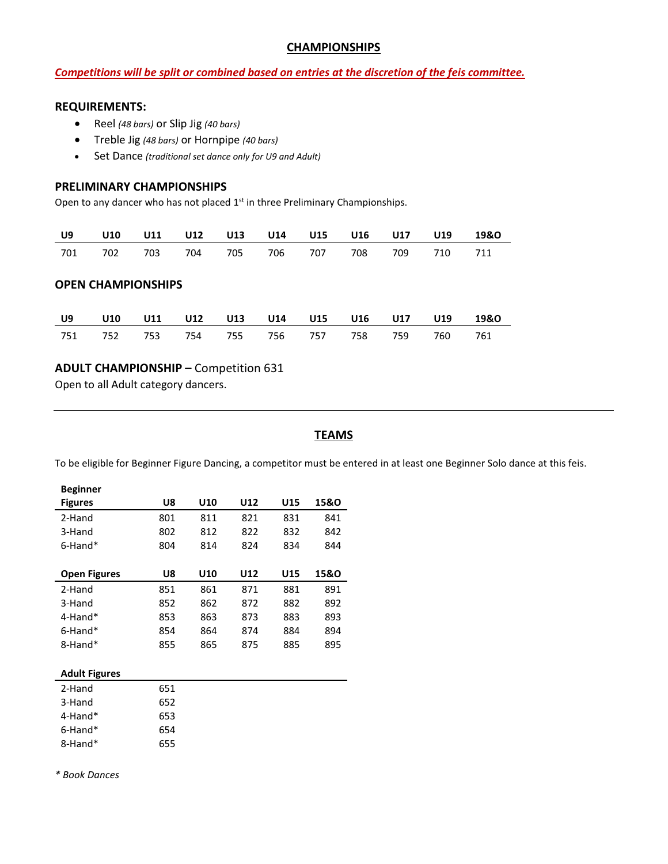#### **CHAMPIONSHIPS**

#### Competitions will be split or combined based on entries at the discretion of the feis committee.

#### REQUIREMENTS:

- Reel (48 bars) or Slip Jig (40 bars)
- Treble Jig (48 bars) or Hornpipe (40 bars)
- Set Dance (traditional set dance only for U9 and Adult)

#### PRELIMINARY CHAMPIONSHIPS

Open to any dancer who has not placed 1<sup>st</sup> in three Preliminary Championships.

|  |                                             |  |  |  | U9 U10 U11 U12 U13 U14 U15 U16 U17 U19 19&O |
|--|---------------------------------------------|--|--|--|---------------------------------------------|
|  | 701 702 703 704 705 706 707 708 709 710 711 |  |  |  |                                             |

#### OPEN CHAMPIONSHIPS

|  | U9 U10 U11 U12 U13 U14 U15 U16 U17 U19 19&O |  |  |  |  |
|--|---------------------------------------------|--|--|--|--|
|  | 751 752 753 754 755 756 757 758 759 760 761 |  |  |  |  |

#### ADULT CHAMPIONSHIP – Competition 631

Open to all Adult category dancers.

#### **TEAMS**

To be eligible for Beginner Figure Dancing, a competitor must be entered in at least one Beginner Solo dance at this feis.

| <b>Beginner</b>     |     |     |     |     |      |
|---------------------|-----|-----|-----|-----|------|
| <b>Figures</b>      | U8  | U10 | U12 | U15 | 15&0 |
| 2-Hand              | 801 | 811 | 821 | 831 | 841  |
| 3-Hand              | 802 | 812 | 822 | 832 | 842  |
| $6$ -Hand $*$       | 804 | 814 | 824 | 834 | 844  |
|                     |     |     |     |     |      |
|                     |     |     |     |     |      |
| <b>Open Figures</b> | U8  | U10 | U12 | U15 | 15&0 |
| 2-Hand              | 851 | 861 | 871 | 881 | 891  |
| 3-Hand              | 852 | 862 | 872 | 882 | 892  |
| $4$ -Hand $*$       | 853 | 863 | 873 | 883 | 893  |
| $6$ -Hand $*$       | 854 | 864 | 874 | 884 | 894  |

| <b>Adult Figures</b> |     |
|----------------------|-----|
| 2-Hand               | 651 |
| 3-Hand               | 652 |
| 4-Hand*              | 653 |
| $6$ -Hand $*$        | 654 |
| 8-Hand*              | 655 |

\* Book Dances

Ē,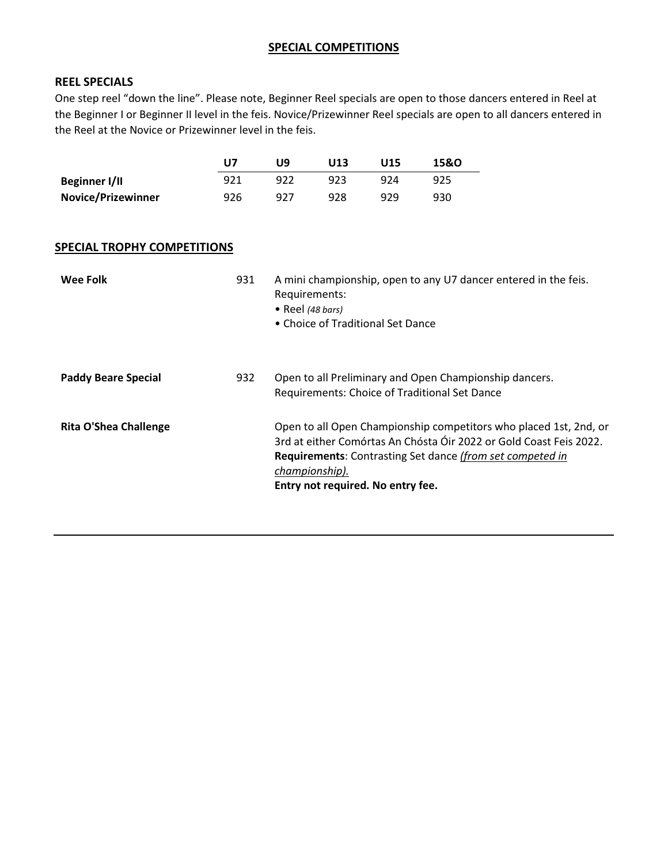#### SPECIAL COMPETITIONS

#### REEL SPECIALS

One step reel "down the line". Please note, Beginner Reel specials are open to those dancers entered in Reel at the Beginner I or Beginner II level in the feis. Novice/Prizewinner Reel specials are open to all dancers entered in the Reel at the Novice or Prizewinner level in the feis.

|                           | U7  | l 19 | U13 | U15 | 15&0 |
|---------------------------|-----|------|-----|-----|------|
| Beginner I/II             | 921 | 922  | 923 | 924 | 925  |
| <b>Novice/Prizewinner</b> | 926 | -927 | 928 | 929 | 930  |

#### SPECIAL TROPHY COMPETITIONS

| Wee Folk                   | 931 | A mini championship, open to any U7 dancer entered in the feis.<br>Requirements:<br>• Reel (48 bars)<br>• Choice of Traditional Set Dance                                                                                                                          |
|----------------------------|-----|--------------------------------------------------------------------------------------------------------------------------------------------------------------------------------------------------------------------------------------------------------------------|
| <b>Paddy Beare Special</b> | 932 | Open to all Preliminary and Open Championship dancers.<br>Requirements: Choice of Traditional Set Dance                                                                                                                                                            |
| Rita O'Shea Challenge      |     | Open to all Open Championship competitors who placed 1st, 2nd, or<br>3rd at either Comórtas An Chósta Óir 2022 or Gold Coast Feis 2022.<br><b>Requirements:</b> Contrasting Set dance (from set competed in<br>championship).<br>Entry not required. No entry fee. |